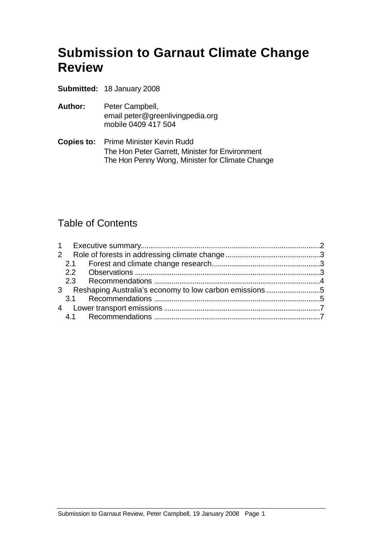# **Submission to Garnaut Climate Change Review**

- **Submitted:** 18 January 2008
- **Author:** Peter Campbell, email peter@greenlivingpedia.org mobile 0409 417 504
- **Copies to:** Prime Minister Kevin Rudd The Hon Peter Garrett, Minister for Environment The Hon Penny Wong, Minister for Climate Change

### Table of Contents

|  | 3 Reshaping Australia's economy to low carbon emissions5 |  |
|--|----------------------------------------------------------|--|
|  |                                                          |  |
|  |                                                          |  |
|  |                                                          |  |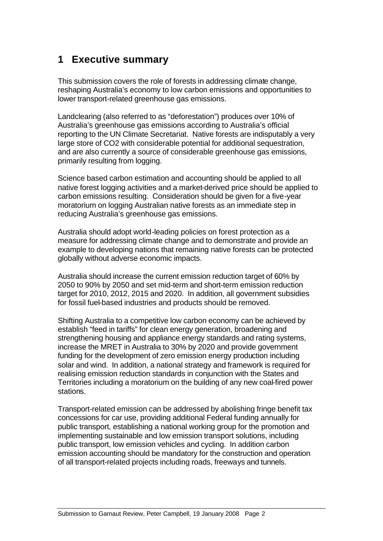# **1 Executive summary**

This submission covers the role of forests in addressing climate change, reshaping Australia's economy to low carbon emissions and opportunities to lower transport-related greenhouse gas emissions.

Landclearing (also referred to as "deforestation") produces over 10% of Australia's greenhouse gas emissions according to Australia's official reporting to the UN Climate Secretariat. Native forests are indisputably a very large store of CO2 with considerable potential for additional sequestration, and are also currently a source of considerable greenhouse gas emissions, primarily resulting from logging.

Science based carbon estimation and accounting should be applied to all native forest logging activities and a market-derived price should be applied to carbon emissions resulting. Consideration should be given for a five-year moratorium on logging Australian native forests as an immediate step in reducing Australia's greenhouse gas emissions.

Australia should adopt world-leading policies on forest protection as a measure for addressing climate change and to demonstrate and provide an example to developing nations that remaining native forests can be protected globally without adverse economic impacts.

Australia should increase the current emission reduction target of 60% by 2050 to 90% by 2050 and set mid-term and short-term emission reduction target for 2010, 2012, 2015 and 2020. In addition, all government subsidies for fossil fuel-based industries and products should be removed.

Shifting Australia to a competitive low carbon economy can be achieved by establish "feed in tariffs" for clean energy generation, broadening and strengthening housing and appliance energy standards and rating systems, increase the MRET in Australia to 30% by 2020 and provide government funding for the development of zero emission energy production including solar and wind. In addition, a national strategy and framework is required for realising emission reduction standards in conjunction with the States and Territories including a moratorium on the building of any new coal-fired power stations.

Transport-related emission can be addressed by abolishing fringe benefit tax concessions for car use, providing additional Federal funding annually for public transport, establishing a national working group for the promotion and implementing sustainable and low emission transport solutions, including public transport, low emission vehicles and cycling. In addition carbon emission accounting should be mandatory for the construction and operation of all transport-related projects including roads, freeways and tunnels.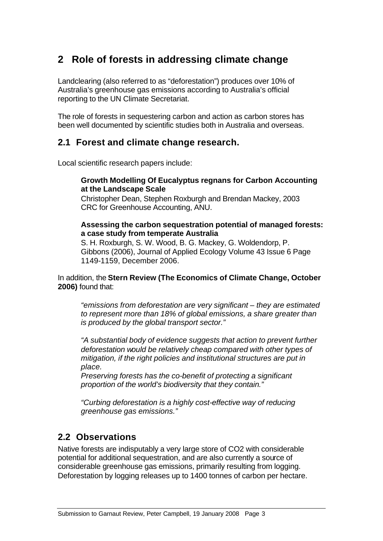# **2 Role of forests in addressing climate change**

Landclearing (also referred to as "deforestation") produces over 10% of Australia's greenhouse gas emissions according to Australia's official reporting to the UN Climate Secretariat.

The role of forests in sequestering carbon and action as carbon stores has been well documented by scientific studies both in Australia and overseas.

#### **2.1 Forest and climate change research.**

Local scientific research papers include:

#### **Growth ModeIling Of Eucalyptus regnans for Carbon Accounting at the Landscape Scale**

Christopher Dean, Stephen Roxburgh and Brendan Mackey, 2003 CRC for Greenhouse Accounting, ANU.

#### **Assessing the carbon sequestration potential of managed forests: a case study from temperate Australia**

S. H. Roxburgh, S. W. Wood, B. G. Mackey, G. Woldendorp, P. Gibbons (2006), Journal of Applied Ecology Volume 43 Issue 6 Page 1149-1159, December 2006.

In addition, the **Stern Review (The Economics of Climate Change, October 2006)** found that:

*"emissions from deforestation are very significant – they are estimated to represent more than 18% of global emissions, a share greater than is produced by the global transport sector."*

*"A substantial body of evidence suggests that action to prevent further deforestation would be relatively cheap compared with other types of mitigation, if the right policies and institutional structures are put in place.*

*Preserving forests has the co-benefit of protecting a significant proportion of the world's biodiversity that they contain."*

*"Curbing deforestation is a highly cost-effective way of reducing greenhouse gas emissions."*

### **2.2 Observations**

Native forests are indisputably a very large store of CO2 with considerable potential for additional sequestration, and are also currently a source of considerable greenhouse gas emissions, primarily resulting from logging. Deforestation by logging releases up to 1400 tonnes of carbon per hectare.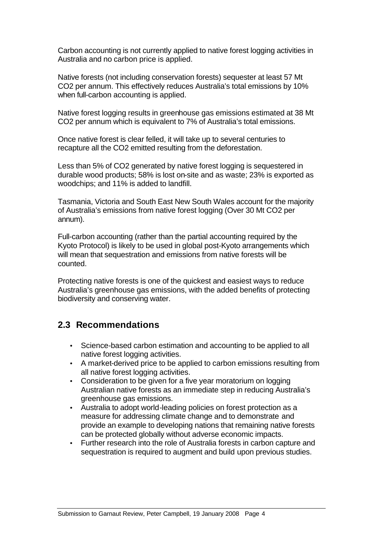Carbon accounting is not currently applied to native forest logging activities in Australia and no carbon price is applied.

Native forests (not including conservation forests) sequester at least 57 Mt CO2 per annum. This effectively reduces Australia's total emissions by 10% when full-carbon accounting is applied.

Native forest logging results in greenhouse gas emissions estimated at 38 Mt CO2 per annum which is equivalent to 7% of Australia's total emissions.

Once native forest is clear felled, it will take up to several centuries to recapture all the CO2 emitted resulting from the deforestation.

Less than 5% of CO2 generated by native forest logging is sequestered in durable wood products; 58% is lost on-site and as waste; 23% is exported as woodchips; and 11% is added to landfill.

Tasmania, Victoria and South East New South Wales account for the majority of Australia's emissions from native forest logging (Over 30 Mt CO2 per annum).

Full-carbon accounting (rather than the partial accounting required by the Kyoto Protocol) is likely to be used in global post-Kyoto arrangements which will mean that sequestration and emissions from native forests will be counted.

Protecting native forests is one of the quickest and easiest ways to reduce Australia's greenhouse gas emissions, with the added benefits of protecting biodiversity and conserving water.

### **2.3 Recommendations**

- Science-based carbon estimation and accounting to be applied to all native forest logging activities.
- A market-derived price to be applied to carbon emissions resulting from all native forest logging activities.
- Consideration to be given for a five year moratorium on logging Australian native forests as an immediate step in reducing Australia's greenhouse gas emissions.
- Australia to adopt world-leading policies on forest protection as a measure for addressing climate change and to demonstrate and provide an example to developing nations that remaining native forests can be protected globally without adverse economic impacts.
- Further research into the role of Australia forests in carbon capture and sequestration is required to augment and build upon previous studies.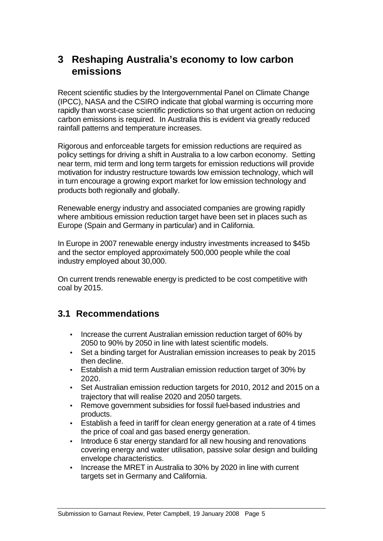### **3 Reshaping Australia's economy to low carbon emissions**

Recent scientific studies by the Intergovernmental Panel on Climate Change (IPCC), NASA and the CSIRO indicate that global warming is occurring more rapidly than worst-case scientific predictions so that urgent action on reducing carbon emissions is required. In Australia this is evident via greatly reduced rainfall patterns and temperature increases.

Rigorous and enforceable targets for emission reductions are required as policy settings for driving a shift in Australia to a low carbon economy. Setting near term, mid term and long term targets for emission reductions will provide motivation for industry restructure towards low emission technology, which will in turn encourage a growing export market for low emission technology and products both regionally and globally.

Renewable energy industry and associated companies are growing rapidly where ambitious emission reduction target have been set in places such as Europe (Spain and Germany in particular) and in California.

In Europe in 2007 renewable energy industry investments increased to \$45b and the sector employed approximately 500,000 people while the coal industry employed about 30,000.

On current trends renewable energy is predicted to be cost competitive with coal by 2015.

### **3.1 Recommendations**

- Increase the current Australian emission reduction target of 60% by 2050 to 90% by 2050 in line with latest scientific models.
- Set a binding target for Australian emission increases to peak by 2015 then decline.
- Establish a mid term Australian emission reduction target of 30% by 2020.
- Set Australian emission reduction targets for 2010, 2012 and 2015 on a trajectory that will realise 2020 and 2050 targets.
- Remove government subsidies for fossil fuel-based industries and products.
- Establish a feed in tariff for clean energy generation at a rate of 4 times the price of coal and gas based energy generation.
- Introduce 6 star energy standard for all new housing and renovations covering energy and water utilisation, passive solar design and building envelope characteristics.
- Increase the MRET in Australia to 30% by 2020 in line with current targets set in Germany and California.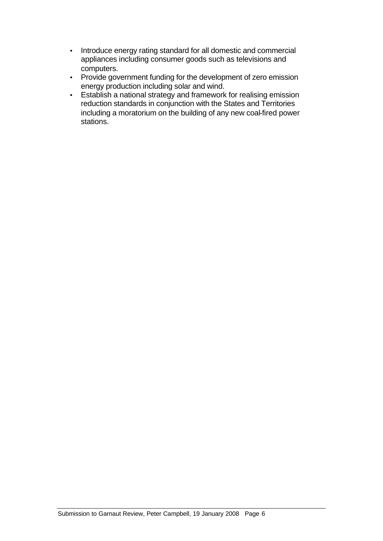- Introduce energy rating standard for all domestic and commercial appliances including consumer goods such as televisions and computers.
- Provide government funding for the development of zero emission energy production including solar and wind.
- Establish a national strategy and framework for realising emission reduction standards in conjunction with the States and Territories including a moratorium on the building of any new coal-fired power stations.